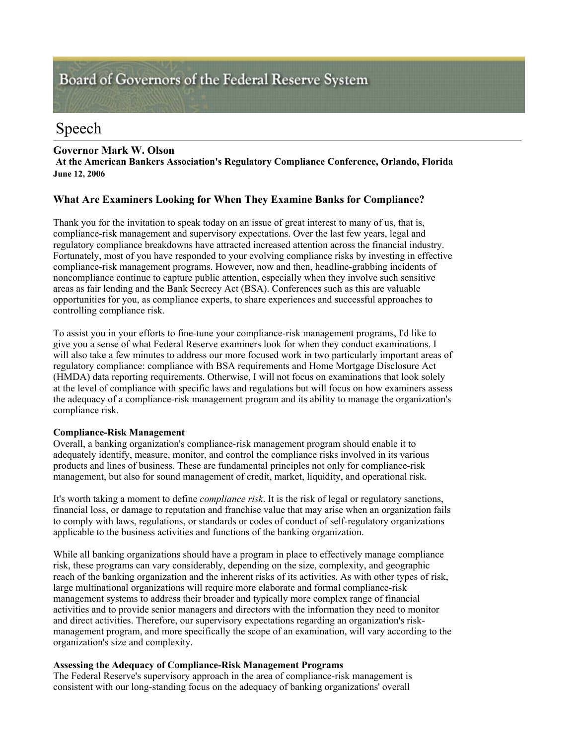# Board of Governors of the Federal Reserve System

# Speech

# **Governor Mark W. Olson**

**At the American Bankers Association's Regulatory Compliance Conference, Orlando, Florida June 12, 2006** 

# **What Are Examiners Looking for When They Examine Banks for Compliance?**

Thank you for the invitation to speak today on an issue of great interest to many of us, that is, compliance-risk management and supervisory expectations. Over the last few years, legal and regulatory compliance breakdowns have attracted increased attention across the financial industry. Fortunately, most of you have responded to your evolving compliance risks by investing in effective compliance-risk management programs. However, now and then, headline-grabbing incidents of noncompliance continue to capture public attention, especially when they involve such sensitive areas as fair lending and the Bank Secrecy Act (BSA). Conferences such as this are valuable opportunities for you, as compliance experts, to share experiences and successful approaches to controlling compliance risk.

To assist you in your efforts to fine-tune your compliance-risk management programs, I'd like to give you a sense of what Federal Reserve examiners look for when they conduct examinations. I will also take a few minutes to address our more focused work in two particularly important areas of regulatory compliance: compliance with BSA requirements and Home Mortgage Disclosure Act (HMDA) data reporting requirements. Otherwise, I will not focus on examinations that look solely at the level of compliance with specific laws and regulations but will focus on how examiners assess the adequacy of a compliance-risk management program and its ability to manage the organization's compliance risk.

# **Compliance-Risk Management**

Overall, a banking organization's compliance-risk management program should enable it to adequately identify, measure, monitor, and control the compliance risks involved in its various products and lines of business. These are fundamental principles not only for compliance-risk management, but also for sound management of credit, market, liquidity, and operational risk.

It's worth taking a moment to define *compliance risk*. It is the risk of legal or regulatory sanctions, financial loss, or damage to reputation and franchise value that may arise when an organization fails to comply with laws, regulations, or standards or codes of conduct of self-regulatory organizations applicable to the business activities and functions of the banking organization.

While all banking organizations should have a program in place to effectively manage compliance risk, these programs can vary considerably, depending on the size, complexity, and geographic reach of the banking organization and the inherent risks of its activities. As with other types of risk, large multinational organizations will require more elaborate and formal compliance-risk management systems to address their broader and typically more complex range of financial activities and to provide senior managers and directors with the information they need to monitor and direct activities. Therefore, our supervisory expectations regarding an organization's riskmanagement program, and more specifically the scope of an examination, will vary according to the organization's size and complexity.

# **Assessing the Adequacy of Compliance-Risk Management Programs**

The Federal Reserve's supervisory approach in the area of compliance-risk management is consistent with our long-standing focus on the adequacy of banking organizations' overall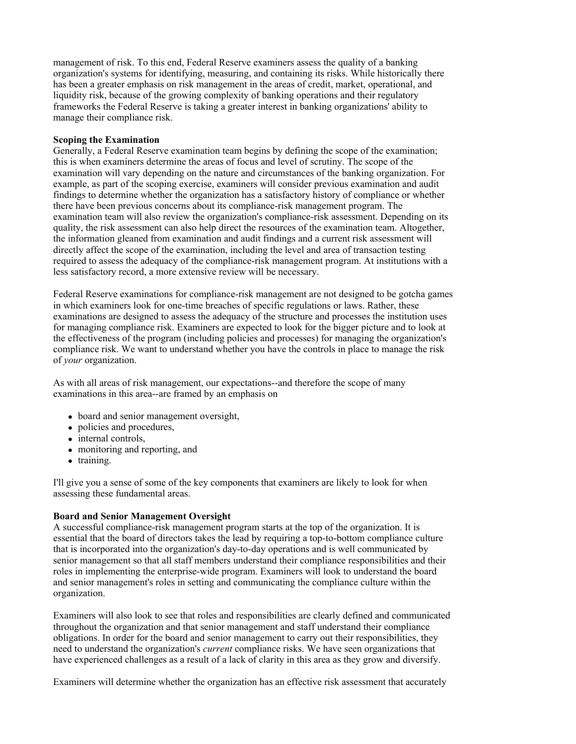management of risk. To this end, Federal Reserve examiners assess the quality of a banking organization's systems for identifying, measuring, and containing its risks. While historically there has been a greater emphasis on risk management in the areas of credit, market, operational, and liquidity risk, because of the growing complexity of banking operations and their regulatory frameworks the Federal Reserve is taking a greater interest in banking organizations' ability to manage their compliance risk.

# **Scoping the Examination**

Generally, a Federal Reserve examination team begins by defining the scope of the examination; this is when examiners determine the areas of focus and level of scrutiny. The scope of the examination will vary depending on the nature and circumstances of the banking organization. For example, as part of the scoping exercise, examiners will consider previous examination and audit findings to determine whether the organization has a satisfactory history of compliance or whether there have been previous concerns about its compliance-risk management program. The examination team will also review the organization's compliance-risk assessment. Depending on its quality, the risk assessment can also help direct the resources of the examination team. Altogether, the information gleaned from examination and audit findings and a current risk assessment will directly affect the scope of the examination, including the level and area of transaction testing required to assess the adequacy of the compliance-risk management program. At institutions with a less satisfactory record, a more extensive review will be necessary.

Federal Reserve examinations for compliance-risk management are not designed to be gotcha games in which examiners look for one-time breaches of specific regulations or laws. Rather, these examinations are designed to assess the adequacy of the structure and processes the institution uses for managing compliance risk. Examiners are expected to look for the bigger picture and to look at the effectiveness of the program (including policies and processes) for managing the organization's compliance risk. We want to understand whether you have the controls in place to manage the risk of *your* organization.

As with all areas of risk management, our expectations--and therefore the scope of many examinations in this area--are framed by an emphasis on

- board and senior management oversight,
- policies and procedures,
- $\bullet$  internal controls,
- monitoring and reporting, and
- training.

I'll give you a sense of some of the key components that examiners are likely to look for when assessing these fundamental areas.

# **Board and Senior Management Oversight**

A successful compliance-risk management program starts at the top of the organization. It is essential that the board of directors takes the lead by requiring a top-to-bottom compliance culture that is incorporated into the organization's day-to-day operations and is well communicated by senior management so that all staff members understand their compliance responsibilities and their roles in implementing the enterprise-wide program. Examiners will look to understand the board and senior management's roles in setting and communicating the compliance culture within the organization.

Examiners will also look to see that roles and responsibilities are clearly defined and communicated throughout the organization and that senior management and staff understand their compliance obligations. In order for the board and senior management to carry out their responsibilities, they need to understand the organization's *current* compliance risks. We have seen organizations that have experienced challenges as a result of a lack of clarity in this area as they grow and diversify.

Examiners will determine whether the organization has an effective risk assessment that accurately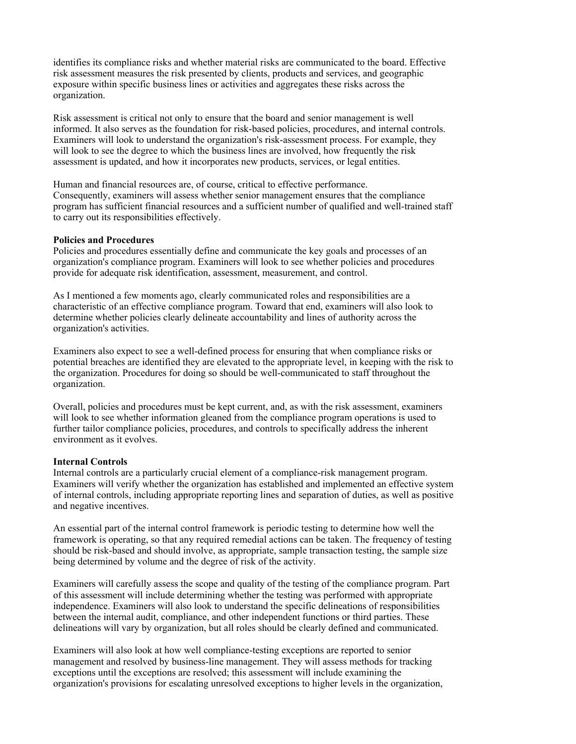identifies its compliance risks and whether material risks are communicated to the board. Effective risk assessment measures the risk presented by clients, products and services, and geographic exposure within specific business lines or activities and aggregates these risks across the organization.

Risk assessment is critical not only to ensure that the board and senior management is well informed. It also serves as the foundation for risk-based policies, procedures, and internal controls. Examiners will look to understand the organization's risk-assessment process. For example, they will look to see the degree to which the business lines are involved, how frequently the risk assessment is updated, and how it incorporates new products, services, or legal entities.

Human and financial resources are, of course, critical to effective performance. Consequently, examiners will assess whether senior management ensures that the compliance program has sufficient financial resources and a sufficient number of qualified and well-trained staff to carry out its responsibilities effectively.

#### **Policies and Procedures**

Policies and procedures essentially define and communicate the key goals and processes of an organization's compliance program. Examiners will look to see whether policies and procedures provide for adequate risk identification, assessment, measurement, and control.

As I mentioned a few moments ago, clearly communicated roles and responsibilities are a characteristic of an effective compliance program. Toward that end, examiners will also look to determine whether policies clearly delineate accountability and lines of authority across the organization's activities.

Examiners also expect to see a well-defined process for ensuring that when compliance risks or potential breaches are identified they are elevated to the appropriate level, in keeping with the risk to the organization. Procedures for doing so should be well-communicated to staff throughout the organization.

Overall, policies and procedures must be kept current, and, as with the risk assessment, examiners will look to see whether information gleaned from the compliance program operations is used to further tailor compliance policies, procedures, and controls to specifically address the inherent environment as it evolves.

#### **Internal Controls**

Internal controls are a particularly crucial element of a compliance-risk management program. Examiners will verify whether the organization has established and implemented an effective system of internal controls, including appropriate reporting lines and separation of duties, as well as positive and negative incentives.

An essential part of the internal control framework is periodic testing to determine how well the framework is operating, so that any required remedial actions can be taken. The frequency of testing should be risk-based and should involve, as appropriate, sample transaction testing, the sample size being determined by volume and the degree of risk of the activity.

Examiners will carefully assess the scope and quality of the testing of the compliance program. Part of this assessment will include determining whether the testing was performed with appropriate independence. Examiners will also look to understand the specific delineations of responsibilities between the internal audit, compliance, and other independent functions or third parties. These delineations will vary by organization, but all roles should be clearly defined and communicated.

Examiners will also look at how well compliance-testing exceptions are reported to senior management and resolved by business-line management. They will assess methods for tracking exceptions until the exceptions are resolved; this assessment will include examining the organization's provisions for escalating unresolved exceptions to higher levels in the organization,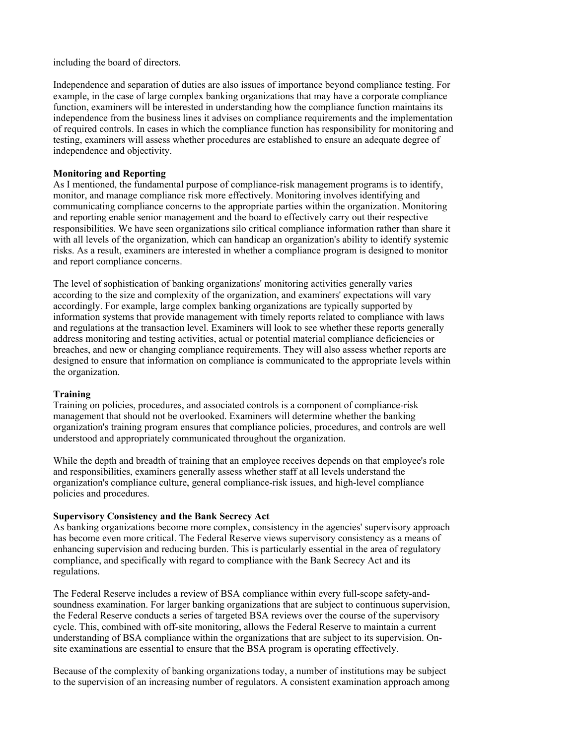including the board of directors.

Independence and separation of duties are also issues of importance beyond compliance testing. For example, in the case of large complex banking organizations that may have a corporate compliance function, examiners will be interested in understanding how the compliance function maintains its independence from the business lines it advises on compliance requirements and the implementation of required controls. In cases in which the compliance function has responsibility for monitoring and testing, examiners will assess whether procedures are established to ensure an adequate degree of independence and objectivity.

#### **Monitoring and Reporting**

As I mentioned, the fundamental purpose of compliance-risk management programs is to identify, monitor, and manage compliance risk more effectively. Monitoring involves identifying and communicating compliance concerns to the appropriate parties within the organization. Monitoring and reporting enable senior management and the board to effectively carry out their respective responsibilities. We have seen organizations silo critical compliance information rather than share it with all levels of the organization, which can handicap an organization's ability to identify systemic risks. As a result, examiners are interested in whether a compliance program is designed to monitor and report compliance concerns.

The level of sophistication of banking organizations' monitoring activities generally varies according to the size and complexity of the organization, and examiners' expectations will vary accordingly. For example, large complex banking organizations are typically supported by information systems that provide management with timely reports related to compliance with laws and regulations at the transaction level. Examiners will look to see whether these reports generally address monitoring and testing activities, actual or potential material compliance deficiencies or breaches, and new or changing compliance requirements. They will also assess whether reports are designed to ensure that information on compliance is communicated to the appropriate levels within the organization.

#### **Training**

Training on policies, procedures, and associated controls is a component of compliance-risk management that should not be overlooked. Examiners will determine whether the banking organization's training program ensures that compliance policies, procedures, and controls are well understood and appropriately communicated throughout the organization.

While the depth and breadth of training that an employee receives depends on that employee's role and responsibilities, examiners generally assess whether staff at all levels understand the organization's compliance culture, general compliance-risk issues, and high-level compliance policies and procedures.

#### **Supervisory Consistency and the Bank Secrecy Act**

As banking organizations become more complex, consistency in the agencies' supervisory approach has become even more critical. The Federal Reserve views supervisory consistency as a means of enhancing supervision and reducing burden. This is particularly essential in the area of regulatory compliance, and specifically with regard to compliance with the Bank Secrecy Act and its regulations.

The Federal Reserve includes a review of BSA compliance within every full-scope safety-andsoundness examination. For larger banking organizations that are subject to continuous supervision, the Federal Reserve conducts a series of targeted BSA reviews over the course of the supervisory cycle. This, combined with off-site monitoring, allows the Federal Reserve to maintain a current understanding of BSA compliance within the organizations that are subject to its supervision. Onsite examinations are essential to ensure that the BSA program is operating effectively.

Because of the complexity of banking organizations today, a number of institutions may be subject to the supervision of an increasing number of regulators. A consistent examination approach among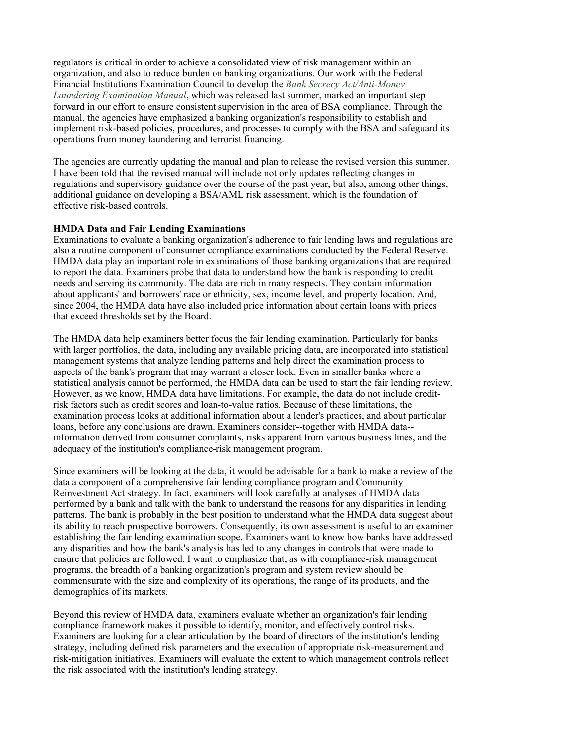regulators is critical in order to achieve a consolidated view of risk management within an organization, and also to reduce burden on banking organizations. Our work with the Federal Financial Institutions Examination Council to develop the *Bank Secrecy Act/Anti-Money Laundering Examination Manual*, which was released last summer, marked an important step forward in our effort to ensure consistent supervision in the area of BSA compliance. Through the manual, the agencies have emphasized a banking organization's responsibility to establish and implement risk-based policies, procedures, and processes to comply with the BSA and safeguard its operations from money laundering and terrorist financing.

The agencies are currently updating the manual and plan to release the revised version this summer. I have been told that the revised manual will include not only updates reflecting changes in regulations and supervisory guidance over the course of the past year, but also, among other things, additional guidance on developing a BSA/AML risk assessment, which is the foundation of effective risk-based controls.

# **HMDA Data and Fair Lending Examinations**

Examinations to evaluate a banking organization's adherence to fair lending laws and regulations are also a routine component of consumer compliance examinations conducted by the Federal Reserve. HMDA data play an important role in examinations of those banking organizations that are required to report the data. Examiners probe that data to understand how the bank is responding to credit needs and serving its community. The data are rich in many respects. They contain information about applicants' and borrowers' race or ethnicity, sex, income level, and property location. And, since 2004, the HMDA data have also included price information about certain loans with prices that exceed thresholds set by the Board.

The HMDA data help examiners better focus the fair lending examination. Particularly for banks with larger portfolios, the data, including any available pricing data, are incorporated into statistical management systems that analyze lending patterns and help direct the examination process to aspects of the bank's program that may warrant a closer look. Even in smaller banks where a statistical analysis cannot be performed, the HMDA data can be used to start the fair lending review. However, as we know, HMDA data have limitations. For example, the data do not include creditrisk factors such as credit scores and loan-to-value ratios. Because of these limitations, the examination process looks at additional information about a lender's practices, and about particular loans, before any conclusions are drawn. Examiners consider--together with HMDA data- information derived from consumer complaints, risks apparent from various business lines, and the adequacy of the institution's compliance-risk management program.

Since examiners will be looking at the data, it would be advisable for a bank to make a review of the data a component of a comprehensive fair lending compliance program and Community Reinvestment Act strategy. In fact, examiners will look carefully at analyses of HMDA data performed by a bank and talk with the bank to understand the reasons for any disparities in lending patterns. The bank is probably in the best position to understand what the HMDA data suggest about its ability to reach prospective borrowers. Consequently, its own assessment is useful to an examiner establishing the fair lending examination scope. Examiners want to know how banks have addressed any disparities and how the bank's analysis has led to any changes in controls that were made to ensure that policies are followed. I want to emphasize that, as with compliance-risk management programs, the breadth of a banking organization's program and system review should be commensurate with the size and complexity of its operations, the range of its products, and the demographics of its markets.

Beyond this review of HMDA data, examiners evaluate whether an organization's fair lending compliance framework makes it possible to identify, monitor, and effectively control risks. Examiners are looking for a clear articulation by the board of directors of the institution's lending strategy, including defined risk parameters and the execution of appropriate risk-measurement and risk-mitigation initiatives. Examiners will evaluate the extent to which management controls reflect the risk associated with the institution's lending strategy.